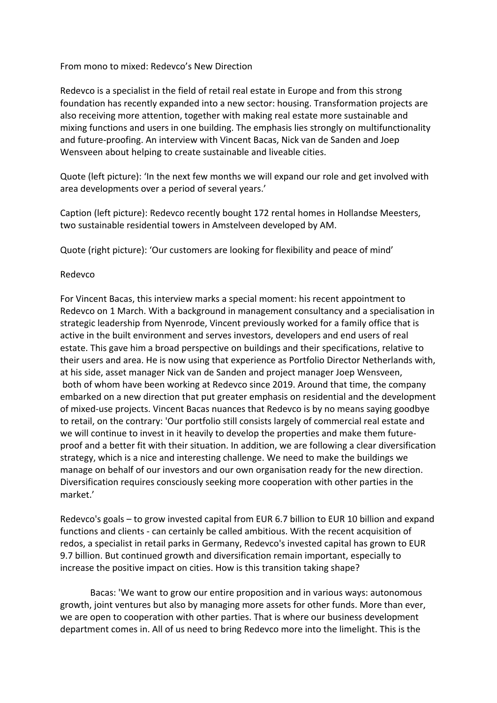From mono to mixed: Redevco's New Direction

Redevco is a specialist in the field of retail real estate in Europe and from this strong foundation has recently expanded into a new sector: housing. Transformation projects are also receiving more attention, together with making real estate more sustainable and mixing functions and users in one building. The emphasis lies strongly on multifunctionality and future-proofing. An interview with Vincent Bacas, Nick van de Sanden and Joep Wensveen about helping to create sustainable and liveable cities.

Quote (left picture): 'In the next few months we will expand our role and get involved with area developments over a period of several years.'

Caption (left picture): Redevco recently bought 172 rental homes in Hollandse Meesters, two sustainable residential towers in Amstelveen developed by AM.

Quote (right picture): 'Our customers are looking for flexibility and peace of mind'

### Redevco

For Vincent Bacas, this interview marks a special moment: his recent appointment to Redevco on 1 March. With a background in management consultancy and a specialisation in strategic leadership from Nyenrode, Vincent previously worked for a family office that is active in the built environment and serves investors, developers and end users of real estate. This gave him a broad perspective on buildings and their specifications, relative to their users and area. He is now using that experience as Portfolio Director Netherlands with, at his side, asset manager Nick van de Sanden and project manager Joep Wensveen, both of whom have been working at Redevco since 2019. Around that time, the company embarked on a new direction that put greater emphasis on residential and the development of mixed-use projects. Vincent Bacas nuances that Redevco is by no means saying goodbye to retail, on the contrary: 'Our portfolio still consists largely of commercial real estate and we will continue to invest in it heavily to develop the properties and make them futureproof and a better fit with their situation. In addition, we are following a clear diversification strategy, which is a nice and interesting challenge. We need to make the buildings we manage on behalf of our investors and our own organisation ready for the new direction. Diversification requires consciously seeking more cooperation with other parties in the market.'

Redevco's goals – to grow invested capital from EUR 6.7 billion to EUR 10 billion and expand functions and clients - can certainly be called ambitious. With the recent acquisition of redos, a specialist in retail parks in Germany, Redevco's invested capital has grown to EUR 9.7 billion. But continued growth and diversification remain important, especially to increase the positive impact on cities. How is this transition taking shape?

Bacas: 'We want to grow our entire proposition and in various ways: autonomous growth, joint ventures but also by managing more assets for other funds. More than ever, we are open to cooperation with other parties. That is where our business development department comes in. All of us need to bring Redevco more into the limelight. This is the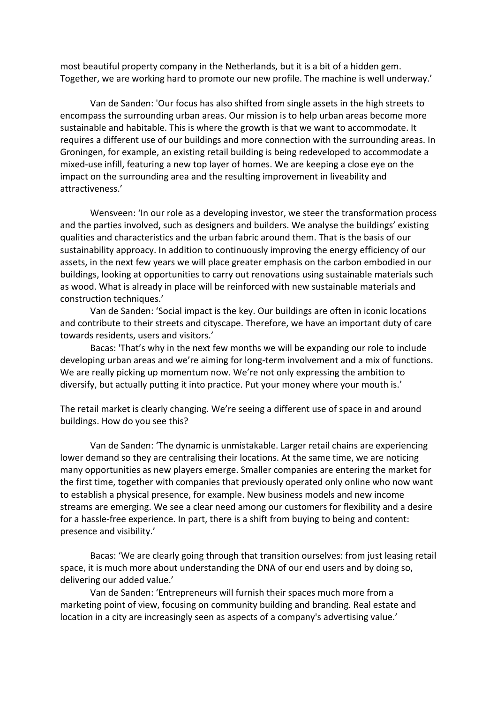most beautiful property company in the Netherlands, but it is a bit of a hidden gem. Together, we are working hard to promote our new profile. The machine is well underway.'

Van de Sanden: 'Our focus has also shifted from single assets in the high streets to encompass the surrounding urban areas. Our mission is to help urban areas become more sustainable and habitable. This is where the growth is that we want to accommodate. It requires a different use of our buildings and more connection with the surrounding areas. In Groningen, for example, an existing retail building is being redeveloped to accommodate a mixed-use infill, featuring a new top layer of homes. We are keeping a close eye on the impact on the surrounding area and the resulting improvement in liveability and attractiveness.'

Wensveen: 'In our role as a developing investor, we steer the transformation process and the parties involved, such as designers and builders. We analyse the buildings' existing qualities and characteristics and the urban fabric around them. That is the basis of our sustainability approacy. In addition to continuously improving the energy efficiency of our assets, in the next few years we will place greater emphasis on the carbon embodied in our buildings, looking at opportunities to carry out renovations using sustainable materials such as wood. What is already in place will be reinforced with new sustainable materials and construction techniques.'

Van de Sanden: 'Social impact is the key. Our buildings are often in iconic locations and contribute to their streets and cityscape. Therefore, we have an important duty of care towards residents, users and visitors.'

Bacas: 'That's why in the next few months we will be expanding our role to include developing urban areas and we're aiming for long-term involvement and a mix of functions. We are really picking up momentum now. We're not only expressing the ambition to diversify, but actually putting it into practice. Put your money where your mouth is.'

The retail market is clearly changing. We're seeing a different use of space in and around buildings. How do you see this?

Van de Sanden: 'The dynamic is unmistakable. Larger retail chains are experiencing lower demand so they are centralising their locations. At the same time, we are noticing many opportunities as new players emerge. Smaller companies are entering the market for the first time, together with companies that previously operated only online who now want to establish a physical presence, for example. New business models and new income streams are emerging. We see a clear need among our customers for flexibility and a desire for a hassle-free experience. In part, there is a shift from buying to being and content: presence and visibility.'

Bacas: 'We are clearly going through that transition ourselves: from just leasing retail space, it is much more about understanding the DNA of our end users and by doing so, delivering our added value.'

Van de Sanden: 'Entrepreneurs will furnish their spaces much more from a marketing point of view, focusing on community building and branding. Real estate and location in a city are increasingly seen as aspects of a company's advertising value.'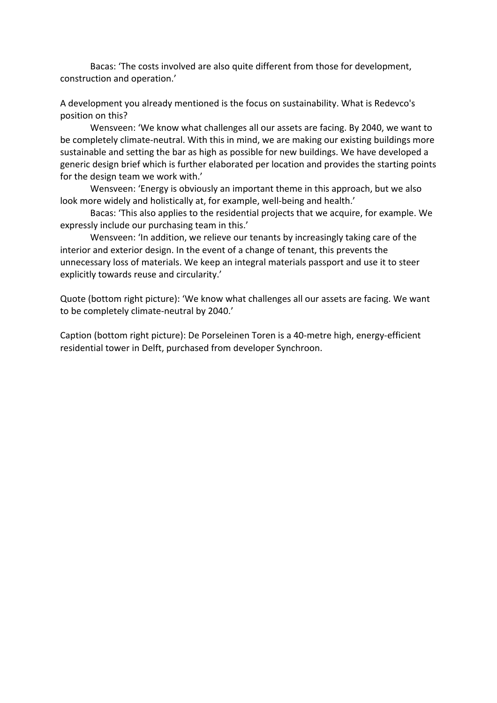Bacas: 'The costs involved are also quite different from those for development, construction and operation.'

A development you already mentioned is the focus on sustainability. What is Redevco's position on this?

Wensveen: 'We know what challenges all our assets are facing. By 2040, we want to be completely climate-neutral. With this in mind, we are making our existing buildings more sustainable and setting the bar as high as possible for new buildings. We have developed a generic design brief which is further elaborated per location and provides the starting points for the design team we work with.'

Wensveen: 'Energy is obviously an important theme in this approach, but we also look more widely and holistically at, for example, well-being and health.'

Bacas: 'This also applies to the residential projects that we acquire, for example. We expressly include our purchasing team in this.'

Wensveen: 'In addition, we relieve our tenants by increasingly taking care of the interior and exterior design. In the event of a change of tenant, this prevents the unnecessary loss of materials. We keep an integral materials passport and use it to steer explicitly towards reuse and circularity.'

Quote (bottom right picture): 'We know what challenges all our assets are facing. We want to be completely climate-neutral by 2040.'

Caption (bottom right picture): De Porseleinen Toren is a 40-metre high, energy-efficient residential tower in Delft, purchased from developer Synchroon.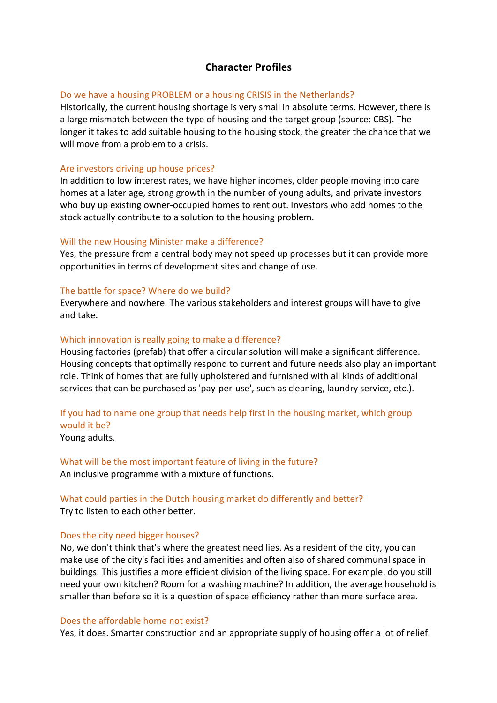## **Character Profiles**

### Do we have a housing PROBLEM or a housing CRISIS in the Netherlands?

Historically, the current housing shortage is very small in absolute terms. However, there is a large mismatch between the type of housing and the target group (source: CBS). The longer it takes to add suitable housing to the housing stock, the greater the chance that we will move from a problem to a crisis.

### Are investors driving up house prices?

In addition to low interest rates, we have higher incomes, older people moving into care homes at a later age, strong growth in the number of young adults, and private investors who buy up existing owner-occupied homes to rent out. Investors who add homes to the stock actually contribute to a solution to the housing problem.

### Will the new Housing Minister make a difference?

Yes, the pressure from a central body may not speed up processes but it can provide more opportunities in terms of development sites and change of use.

### The battle for space? Where do we build?

Everywhere and nowhere. The various stakeholders and interest groups will have to give and take.

### Which innovation is really going to make a difference?

Housing factories (prefab) that offer a circular solution will make a significant difference. Housing concepts that optimally respond to current and future needs also play an important role. Think of homes that are fully upholstered and furnished with all kinds of additional services that can be purchased as 'pay-per-use', such as cleaning, laundry service, etc.).

# If you had to name one group that needs help first in the housing market, which group would it be?

Young adults.

What will be the most important feature of living in the future? An inclusive programme with a mixture of functions.

### What could parties in the Dutch housing market do differently and better? Try to listen to each other better.

### Does the city need bigger houses?

No, we don't think that's where the greatest need lies. As a resident of the city, you can make use of the city's facilities and amenities and often also of shared communal space in buildings. This justifies a more efficient division of the living space. For example, do you still need your own kitchen? Room for a washing machine? In addition, the average household is smaller than before so it is a question of space efficiency rather than more surface area.

#### Does the affordable home not exist?

Yes, it does. Smarter construction and an appropriate supply of housing offer a lot of relief.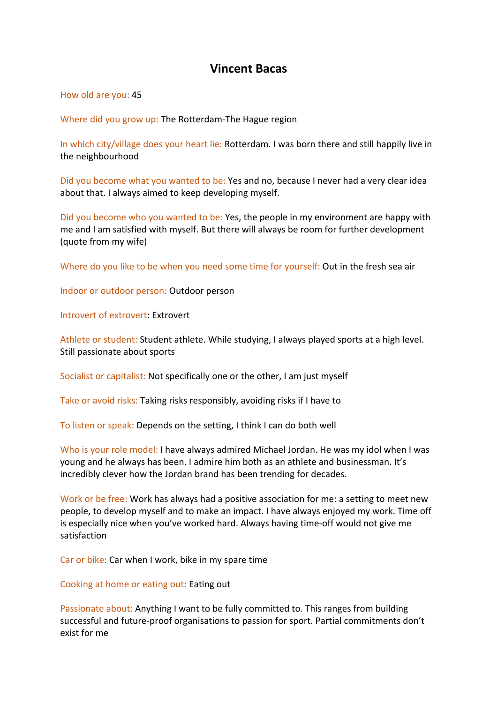# **Vincent Bacas**

How old are you: 45

Where did you grow up: The Rotterdam-The Hague region

In which city/village does your heart lie: Rotterdam. I was born there and still happily live in the neighbourhood

Did you become what you wanted to be: Yes and no, because I never had a very clear idea about that. I always aimed to keep developing myself.

Did you become who you wanted to be: Yes, the people in my environment are happy with me and I am satisfied with myself. But there will always be room for further development (quote from my wife)

Where do you like to be when you need some time for yourself: Out in the fresh sea air

Indoor or outdoor person: Outdoor person

Introvert of extrovert: Extrovert

Athlete or student: Student athlete. While studying, I always played sports at a high level. Still passionate about sports

Socialist or capitalist: Not specifically one or the other, I am just myself

Take or avoid risks: Taking risks responsibly, avoiding risks if I have to

To listen or speak: Depends on the setting, I think I can do both well

Who is your role model: I have always admired Michael Jordan. He was my idol when I was young and he always has been. I admire him both as an athlete and businessman. It's incredibly clever how the Jordan brand has been trending for decades.

Work or be free: Work has always had a positive association for me: a setting to meet new people, to develop myself and to make an impact. I have always enjoyed my work. Time off is especially nice when you've worked hard. Always having time-off would not give me satisfaction

Car or bike: Car when I work, bike in my spare time

Cooking at home or eating out: Eating out

Passionate about: Anything I want to be fully committed to. This ranges from building successful and future-proof organisations to passion for sport. Partial commitments don't exist for me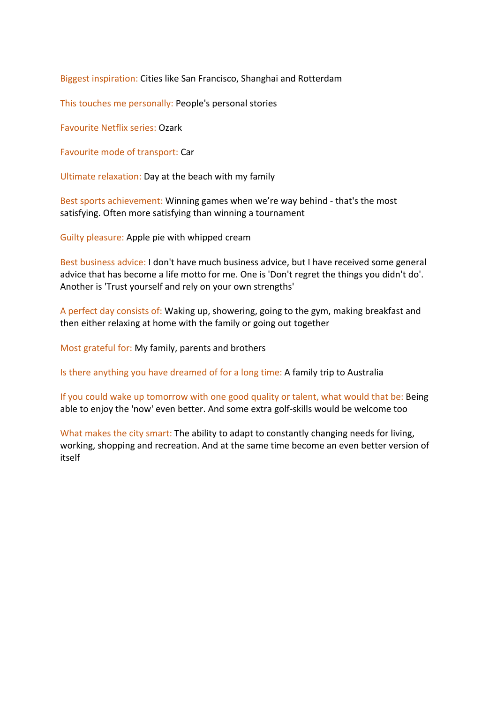Biggest inspiration: Cities like San Francisco, Shanghai and Rotterdam

This touches me personally: People's personal stories

Favourite Netflix series: Ozark

Favourite mode of transport: Car

Ultimate relaxation: Day at the beach with my family

Best sports achievement: Winning games when we're way behind - that's the most satisfying. Often more satisfying than winning a tournament

Guilty pleasure: Apple pie with whipped cream

Best business advice: I don't have much business advice, but I have received some general advice that has become a life motto for me. One is 'Don't regret the things you didn't do'. Another is 'Trust yourself and rely on your own strengths'

A perfect day consists of: Waking up, showering, going to the gym, making breakfast and then either relaxing at home with the family or going out together

Most grateful for: My family, parents and brothers

Is there anything you have dreamed of for a long time: A family trip to Australia

If you could wake up tomorrow with one good quality or talent, what would that be: Being able to enjoy the 'now' even better. And some extra golf-skills would be welcome too

What makes the city smart: The ability to adapt to constantly changing needs for living, working, shopping and recreation. And at the same time become an even better version of itself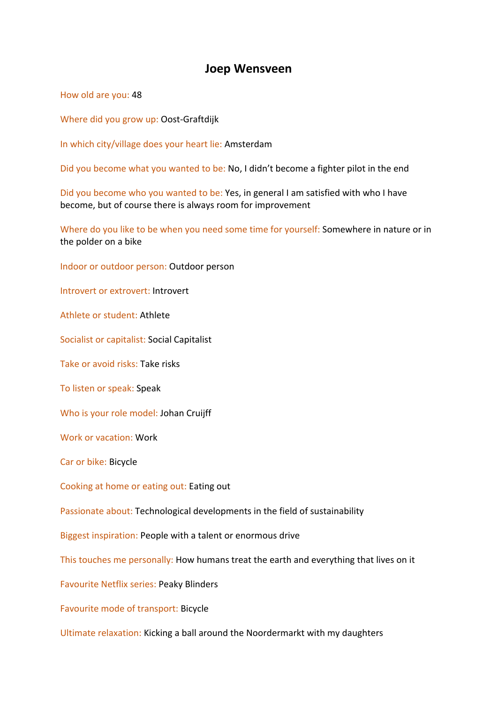## **Joep Wensveen**

How old are you: 48

Where did you grow up: Oost-Graftdijk

In which city/village does your heart lie: Amsterdam

Did you become what you wanted to be: No, I didn't become a fighter pilot in the end

Did you become who you wanted to be: Yes, in general I am satisfied with who I have become, but of course there is always room for improvement

Where do you like to be when you need some time for yourself: Somewhere in nature or in the polder on a bike

Indoor or outdoor person: Outdoor person

Introvert or extrovert: Introvert

Athlete or student: Athlete

Socialist or capitalist: Social Capitalist

Take or avoid risks: Take risks

To listen or speak: Speak

Who is your role model: Johan Cruijff

Work or vacation: Work

Car or bike: Bicycle

Cooking at home or eating out: Eating out

Passionate about: Technological developments in the field of sustainability

Biggest inspiration: People with a talent or enormous drive

This touches me personally: How humans treat the earth and everything that lives on it

Favourite Netflix series: Peaky Blinders

Favourite mode of transport: Bicycle

Ultimate relaxation: Kicking a ball around the Noordermarkt with my daughters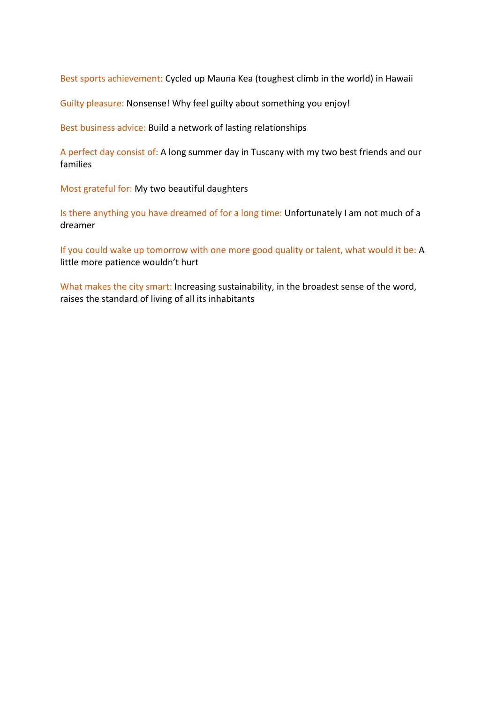Best sports achievement: Cycled up Mauna Kea (toughest climb in the world) in Hawaii

Guilty pleasure: Nonsense! Why feel guilty about something you enjoy!

Best business advice: Build a network of lasting relationships

A perfect day consist of: A long summer day in Tuscany with my two best friends and our families

Most grateful for: My two beautiful daughters

Is there anything you have dreamed of for a long time: Unfortunately I am not much of a dreamer

If you could wake up tomorrow with one more good quality or talent, what would it be: A little more patience wouldn't hurt

What makes the city smart: Increasing sustainability, in the broadest sense of the word, raises the standard of living of all its inhabitants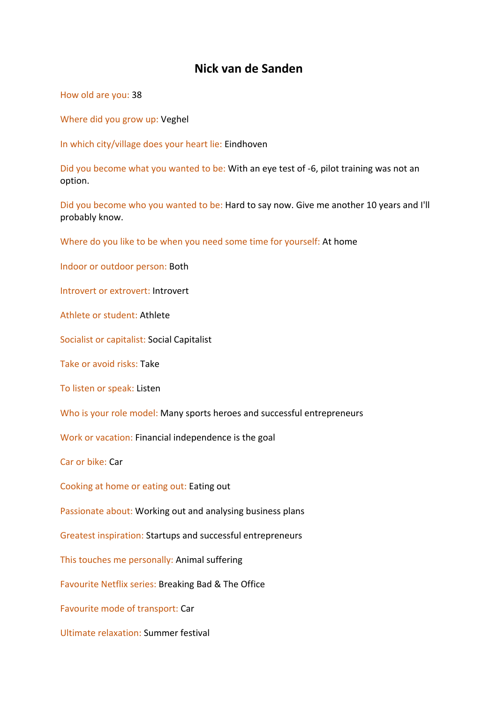# **Nick van de Sanden**

How old are you: 38

Where did you grow up: Veghel

In which city/village does your heart lie: Eindhoven

Did you become what you wanted to be: With an eye test of -6, pilot training was not an option.

Did you become who you wanted to be: Hard to say now. Give me another 10 years and I'll probably know.

Where do you like to be when you need some time for yourself: At home

Indoor or outdoor person: Both

Introvert or extrovert: Introvert

Athlete or student: Athlete

Socialist or capitalist: Social Capitalist

Take or avoid risks: Take

To listen or speak: Listen

Who is your role model: Many sports heroes and successful entrepreneurs

Work or vacation: Financial independence is the goal

Car or bike: Car

Cooking at home or eating out: Eating out

Passionate about: Working out and analysing business plans

Greatest inspiration: Startups and successful entrepreneurs

This touches me personally: Animal suffering

Favourite Netflix series: Breaking Bad & The Office

Favourite mode of transport: Car

Ultimate relaxation: Summer festival